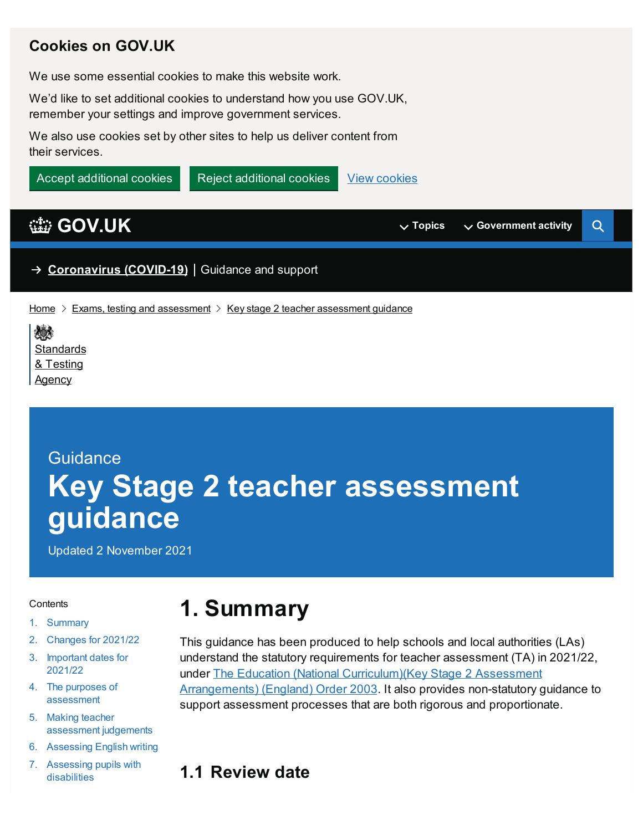#### **Cookies on GOV.UK**

We use some essential cookies to make this website work.

We'd like to set additional cookies to understand how you use GOV.UK, remember your settings and improve government services.

We also use cookies set by other sites to help us deliver content from their services.

View [cookies](https://www.gov.uk/help/cookies) Accept additional cookies  $\blacksquare$  Reject additional cookies

## **[GOV.UK](https://www.gov.uk) Topics**  $\vee$  Government activity

 $\mathsf Q$ 

→ **[Coronavirus](https://www.gov.uk/coronavirus) (COVID-19)** Guidance and support

[Home](https://www.gov.uk/)  $\geq$  Exams, testing and [assessment](https://www.gov.uk/government/publications/key-stage-2-teacher-assessment-guidance)  $\geq$  Key stage 2 teacher assessment guidance

# **Guidance Key Stage 2 teacher assessment guidance**

Updated 2 November 2021

#### <span id="page-0-1"></span>**Contents**

- 1. [Summary](#page-0-0)
- 2. [Changes](#page-1-0) for 2021/22
- 3. [Important](#page-2-0) dates for 2021/22
- 4. The purposes of [assessment](#page-3-0)
- 5. Making teacher [assessment](#page-4-0) judgements
- 6. [Assessing](#page-7-0) English writing
- 7. [Assessing](#page-10-0) pupils with disabilities

# <span id="page-0-0"></span>**1. Summary**

- This guidance has been produced to help schools and local authorities (LAs) understand the statutory requirements for teacher assessment (TA) in 2021/22, under The Education (National [Curriculum\)\(Key](https://www.legislation.gov.uk/uksi/2003/1038/made) Stage 2 Assessment Arrangements) (England) Order 2003. It also provides non-statutory guidance to support assessment processes that are both rigorous and proportionate.
- **1.1 Review date**

<sup>《</sup> **[Standards](https://www.gov.uk/government/organisations/standards-and-testing-agency)** & Testing **Agency**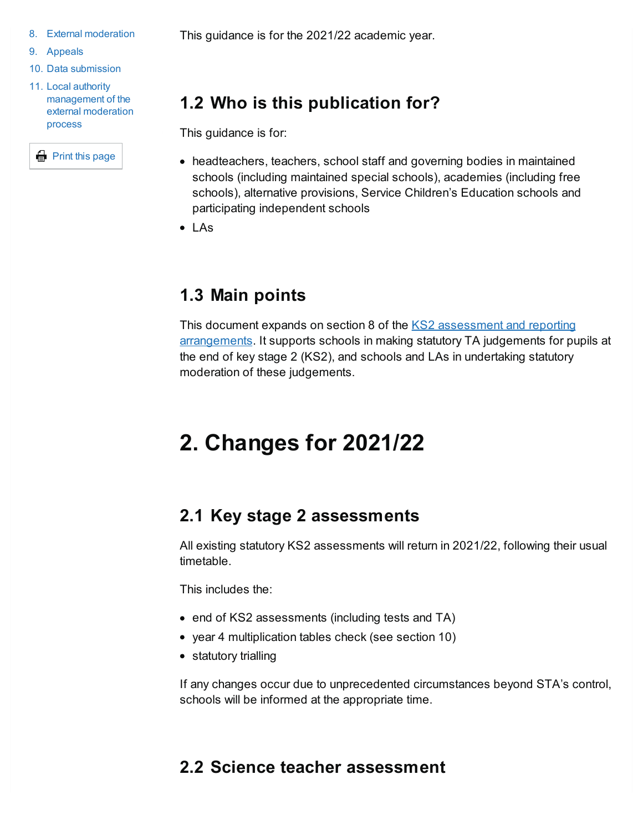- 8. External moderation
- 9. [Appeals](#page-17-0)
- 10. Data [submission](#page-17-1)
- 11. Local authority [management](#page-19-0) of the external moderation process

**E** Print this page

This guidance is for the 2021/22 academic year.

# **1.2 Who is this publication for?**

This guidance is for:

- headteachers, teachers, school staff and governing bodies in maintained schools (including maintained special schools), academies (including free schools), alternative provisions, Service Children's Education schools and participating independent schools
- $\bullet$  LAs

## **1.3 Main points**

This document expands on section 8 of the KS2 assessment and reporting [arrangements.](https://www.gov.uk/government/publications/2022-key-stage-2-assessment-and-reporting-arrangements-ara) It supports schools in making statutory TA judgements for pupils at the end of key stage 2 (KS2), and schools and LAs in undertaking statutory moderation of these judgements.

# <span id="page-1-0"></span>**2. Changes for 2021/22**

## **2.1 Key stage 2 assessments**

All existing statutory KS2 assessments will return in 2021/22, following their usual timetable.

This includes the:

- end of KS2 assessments (including tests and TA)
- year 4 multiplication tables check (see section 10)
- statutory trialling

If any changes occur due to unprecedented circumstances beyond STA's control, schools will be informed at the appropriate time.

## **2.2 Science teacher assessment**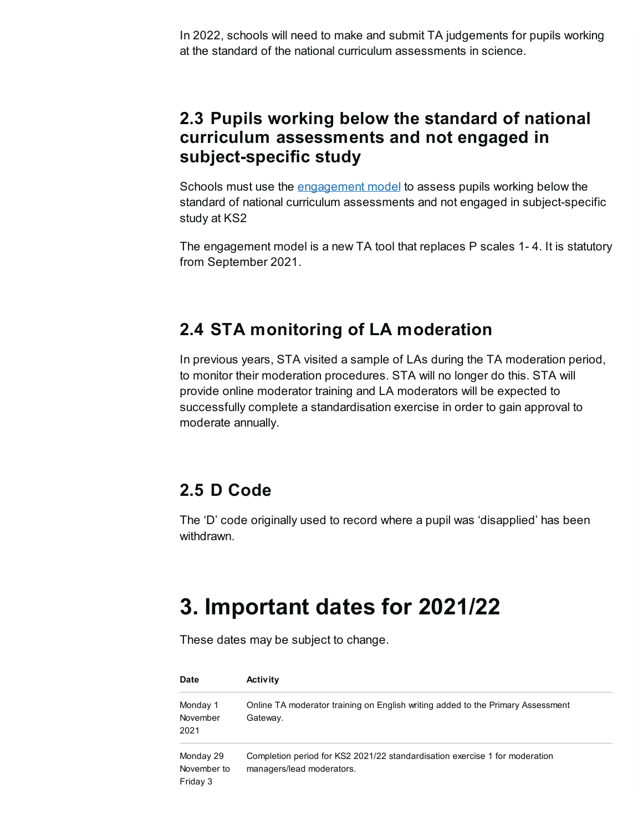In 2022, schools will need to make and submit TA judgements for pupils working at the standard of the national curriculum assessments in science.

#### **2.3 Pupils working below the standard of national curriculum assessments and not engaged in subject-specific study**

Schools must use the [engagement](https://www.gov.uk/government/publications/the-engagement-model) model to assess pupils working below the standard of national curriculum assessments and not engaged in subject-specific study at KS2

The engagement model is a new TA tool that replaces P scales 1- 4. It is statutory from September 2021.

### **2.4 STA monitoring of LA moderation**

In previous years, STA visited a sample of LAs during the TA moderation period, to monitor their moderation procedures. STA will no longer do this. STA will provide online moderator training and LA moderators will be expected to successfully complete a standardisation exercise in order to gain approval to moderate annually.

## **2.5 D Code**

The 'D' code originally used to record where a pupil was 'disapplied' has been withdrawn.

# <span id="page-2-0"></span>**3. Important dates for 2021/22**

These dates may be subject to change.

| <b>Date</b>                          | <b>Activity</b>                                                                                          |
|--------------------------------------|----------------------------------------------------------------------------------------------------------|
| Monday 1<br>November<br>2021         | Online TA moderator training on English writing added to the Primary Assessment<br>Gateway.              |
| Monday 29<br>November to<br>Friday 3 | Completion period for KS2 2021/22 standardisation exercise 1 for moderation<br>managers/lead moderators. |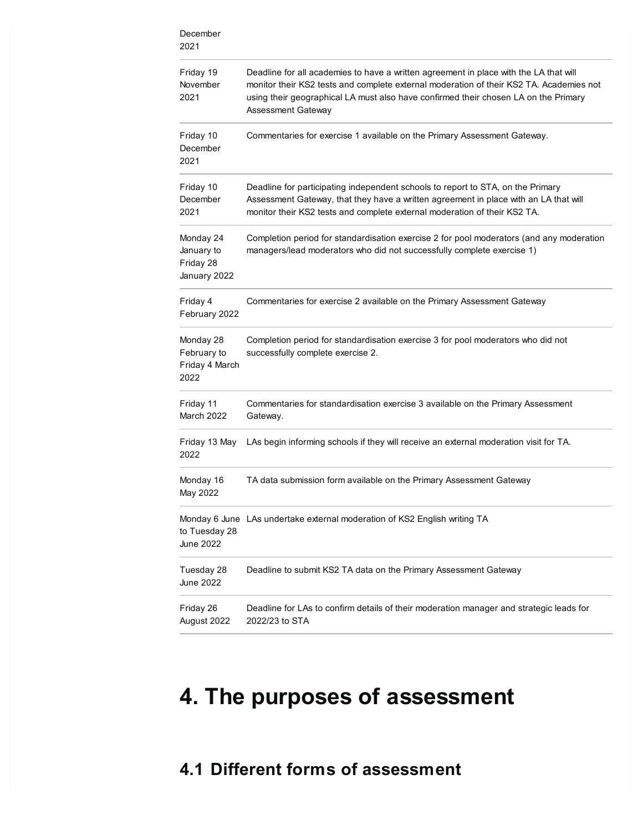| December<br>2021                                     |                                                                                                                                                                                                                                                                                               |  |
|------------------------------------------------------|-----------------------------------------------------------------------------------------------------------------------------------------------------------------------------------------------------------------------------------------------------------------------------------------------|--|
| Friday 19<br>November<br>2021                        | Deadline for all academies to have a written agreement in place with the LA that will<br>monitor their KS2 tests and complete external moderation of their KS2 TA. Academies not<br>using their geographical LA must also have confirmed their chosen LA on the Primary<br>Assessment Gateway |  |
| Friday 10<br>December<br>2021                        | Commentaries for exercise 1 available on the Primary Assessment Gateway.                                                                                                                                                                                                                      |  |
| Friday 10<br>December<br>2021                        | Deadline for participating independent schools to report to STA, on the Primary<br>Assessment Gateway, that they have a written agreement in place with an LA that will<br>monitor their KS2 tests and complete external moderation of their KS2 TA.                                          |  |
| Monday 24<br>January to<br>Friday 28<br>January 2022 | Completion period for standardisation exercise 2 for pool moderators (and any moderation<br>managers/lead moderators who did not successfully complete exercise 1)                                                                                                                            |  |
| Friday 4<br>February 2022                            | Commentaries for exercise 2 available on the Primary Assessment Gateway                                                                                                                                                                                                                       |  |
| Monday 28<br>February to<br>Friday 4 March<br>2022   | Completion period for standardisation exercise 3 for pool moderators who did not<br>successfully complete exercise 2.                                                                                                                                                                         |  |
| Friday 11<br>March 2022                              | Commentaries for standardisation exercise 3 available on the Primary Assessment<br>Gateway.                                                                                                                                                                                                   |  |
| Friday 13 May<br>2022                                | LAs begin informing schools if they will receive an external moderation visit for TA.                                                                                                                                                                                                         |  |
| Monday 16<br>May 2022                                | TA data submission form available on the Primary Assessment Gateway                                                                                                                                                                                                                           |  |
| to Tuesday 28<br><b>June 2022</b>                    | Monday 6 June LAs undertake external moderation of KS2 English writing TA                                                                                                                                                                                                                     |  |
| Tuesday 28<br><b>June 2022</b>                       | Deadline to submit KS2 TA data on the Primary Assessment Gateway                                                                                                                                                                                                                              |  |
| Friday 26<br>August 2022                             | Deadline for LAs to confirm details of their moderation manager and strategic leads for<br>2022/23 to STA                                                                                                                                                                                     |  |

# <span id="page-3-0"></span>**4. The purposes of assessment**

## **4.1 Different forms of assessment**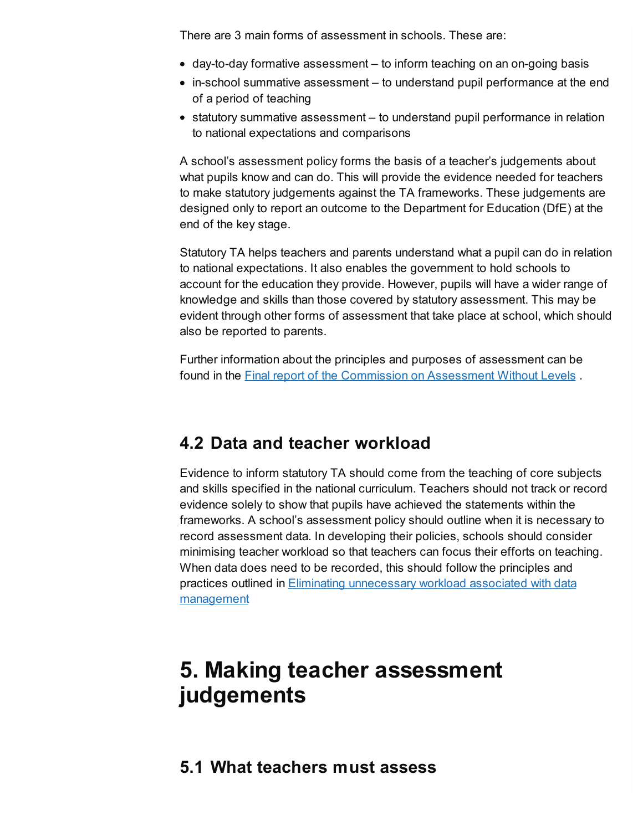There are 3 main forms of assessment in schools. These are:

- day-to-day formative assessment to inform teaching on an on-going basis
- in-school summative assessment to understand pupil performance at the end of a period of teaching
- statutory summative assessment to understand pupil performance in relation to national expectations and comparisons

A school's assessment policy forms the basis of a teacher's judgements about what pupils know and can do. This will provide the evidence needed for teachers to make statutory judgements against the TA frameworks. These judgements are designed only to report an outcome to the Department for Education (DfE) at the end of the key stage.

Statutory TA helps teachers and parents understand what a pupil can do in relation to national expectations. It also enables the government to hold schools to account for the education they provide. However, pupils will have a wider range of knowledge and skills than those covered by statutory assessment. This may be evident through other forms of assessment that take place at school, which should also be reported to parents.

Further information about the principles and purposes of assessment can be found in the Final report of the [Commission](https://www.gov.uk/government/publications/commission-on-assessment-without-levels-final-report) on Assessment Without Levels .

#### **4.2 Data and teacher workload**

Evidence to inform statutory TA should come from the teaching of core subjects and skills specified in the national curriculum. Teachers should not track or record evidence solely to show that pupils have achieved the statements within the frameworks. A school's assessment policy should outline when it is necessary to record assessment data. In developing their policies, schools should consider minimising teacher workload so that teachers can focus their efforts on teaching. When data does need to be recorded, this should follow the principles and practices outlined in Eliminating [unnecessary](https://www.gov.uk/government/publications/reducing-teacher-workload-data-management-review-group-report) workload associated with data management

# <span id="page-4-0"></span>**5. Making teacher assessment judgements**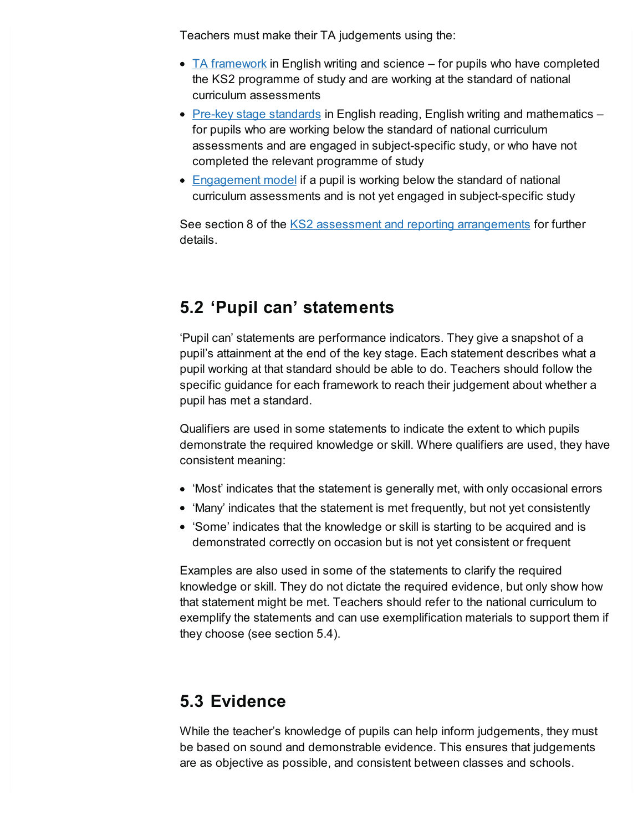Teachers must make their TA judgements using the:

- $\bullet$  TA [framework](https://www.gov.uk/government/publications/teacher-assessment-frameworks-at-the-end-of-key-stage-2) in English writing and science for pupils who have completed the KS2 programme of study and are working at the standard of national curriculum assessments
- Pre-key stage [standards](https://www.gov.uk/government/publications/pre-key-stage-2-standards) in English reading, English writing and mathematics for pupils who are working below the standard of national curriculum assessments and are engaged in subject-specific study, or who have not completed the relevant programme of study
- [Engagement](https://www.gov.uk/government/publications/the-engagement-model#full-history) model if a pupil is working below the standard of national curriculum assessments and is not yet engaged in subject-specific study

See section 8 of the KS2 assessment and reporting [arrangements](https://www.gov.uk/government/publications/2022-key-stage-2-assessment-and-reporting-arrangements-ara) for further details.

## **5.2 'Pupil can' statements**

'Pupil can' statements are performance indicators. They give a snapshot of a pupil's attainment at the end of the key stage. Each statement describes what a pupil working at that standard should be able to do. Teachers should follow the specific guidance for each framework to reach their judgement about whether a pupil has met a standard.

Qualifiers are used in some statements to indicate the extent to which pupils demonstrate the required knowledge or skill. Where qualifiers are used, they have consistent meaning:

- 'Most' indicates that the statement is generally met, with only occasional errors
- 'Many' indicates that the statement is met frequently, but not yet consistently
- 'Some' indicates that the knowledge or skill is starting to be acquired and is demonstrated correctly on occasion but is not yet consistent or frequent

Examples are also used in some of the statements to clarify the required knowledge or skill. They do not dictate the required evidence, but only show how that statement might be met. Teachers should refer to the national curriculum to exemplify the statements and can use exemplification materials to support them if they choose (see section 5.4).

## **5.3 Evidence**

While the teacher's knowledge of pupils can help inform judgements, they must be based on sound and demonstrable evidence. This ensures that judgements are as objective as possible, and consistent between classes and schools.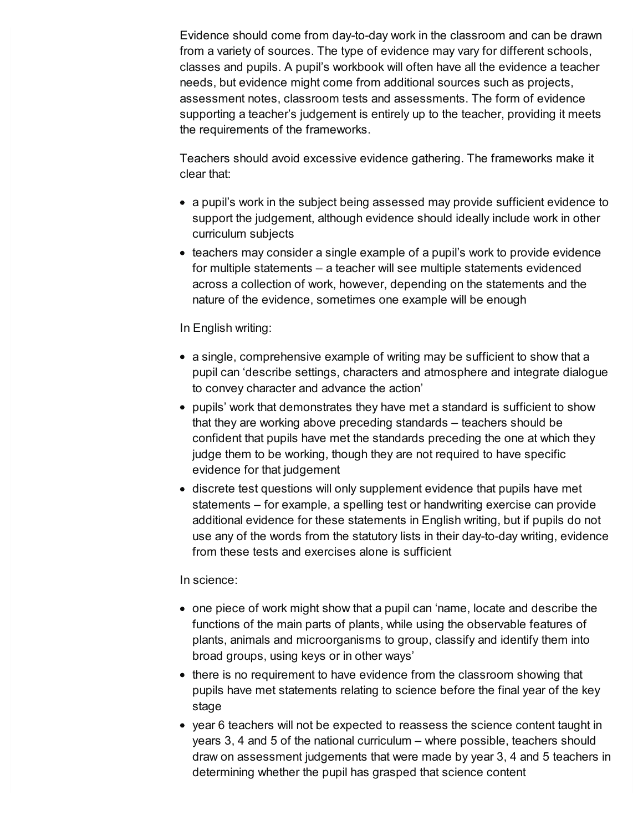Evidence should come from day-to-day work in the classroom and can be drawn from a variety of sources. The type of evidence may vary for different schools, classes and pupils. A pupil's workbook will often have all the evidence a teacher needs, but evidence might come from additional sources such as projects, assessment notes, classroom tests and assessments. The form of evidence supporting a teacher's judgement is entirely up to the teacher, providing it meets the requirements of the frameworks.

Teachers should avoid excessive evidence gathering. The frameworks make it clear that:

- a pupil's work in the subject being assessed may provide sufficient evidence to support the judgement, although evidence should ideally include work in other curriculum subjects
- teachers may consider a single example of a pupil's work to provide evidence for multiple statements – a teacher will see multiple statements evidenced across a collection of work, however, depending on the statements and the nature of the evidence, sometimes one example will be enough

#### In English writing:

- a single, comprehensive example of writing may be sufficient to show that a pupil can 'describe settings, characters and atmosphere and integrate dialogue to convey character and advance the action'
- pupils' work that demonstrates they have met a standard is sufficient to show that they are working above preceding standards – teachers should be confident that pupils have met the standards preceding the one at which they judge them to be working, though they are not required to have specific evidence for that judgement
- discrete test questions will only supplement evidence that pupils have met statements – for example, a spelling test or handwriting exercise can provide additional evidence for these statements in English writing, but if pupils do not use any of the words from the statutory lists in their day-to-day writing, evidence from these tests and exercises alone is sufficient

#### In science:

- one piece of work might show that a pupil can 'name, locate and describe the functions of the main parts of plants, while using the observable features of plants, animals and microorganisms to group, classify and identify them into broad groups, using keys or in other ways'
- there is no requirement to have evidence from the classroom showing that pupils have met statements relating to science before the final year of the key stage
- year 6 teachers will not be expected to reassess the science content taught in years 3, 4 and 5 of the national curriculum – where possible, teachers should draw on assessment judgements that were made by year 3, 4 and 5 teachers in determining whether the pupil has grasped that science content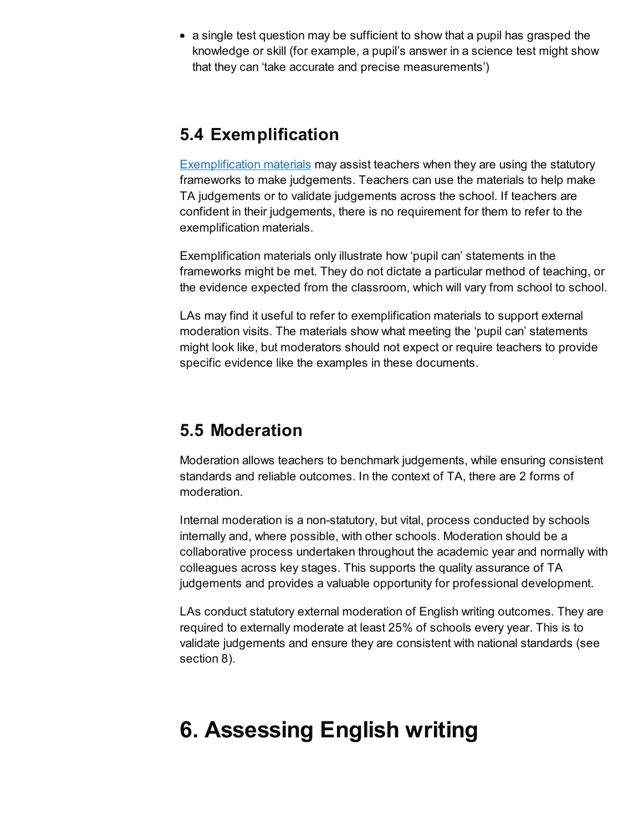• a single test question may be sufficient to show that a pupil has grasped the knowledge or skill (for example, a pupil's answer in a science test might show that they can 'take accurate and precise measurements')

## **5.4 Exemplification**

[Exemplification](https://www.gov.uk/government/collections/key-stage-2-teacher-assessment) materials may assist teachers when they are using the statutory frameworks to make judgements. Teachers can use the materials to help make TA judgements or to validate judgements across the school. If teachers are confident in their judgements, there is no requirement for them to refer to the exemplification materials.

Exemplification materials only illustrate how 'pupil can' statements in the frameworks might be met. They do not dictate a particular method of teaching, or the evidence expected from the classroom, which will vary from school to school.

LAs may find it useful to refer to exemplification materials to support external moderation visits. The materials show what meeting the 'pupil can' statements might look like, but moderators should not expect or require teachers to provide specific evidence like the examples in these documents.

### **5.5 Moderation**

Moderation allows teachers to benchmark judgements, while ensuring consistent standards and reliable outcomes. In the context of TA, there are 2 forms of moderation.

Internal moderation is a non-statutory, but vital, process conducted by schools internally and, where possible, with other schools. Moderation should be a collaborative process undertaken throughout the academic year and normally with colleagues across key stages. This supports the quality assurance of TA judgements and provides a valuable opportunity for professional development.

LAs conduct statutory external moderation of English writing outcomes. They are required to externally moderate at least 25% of schools every year. This is to validate judgements and ensure they are consistent with national standards (see section 8).

# <span id="page-7-0"></span>**6. Assessing English writing**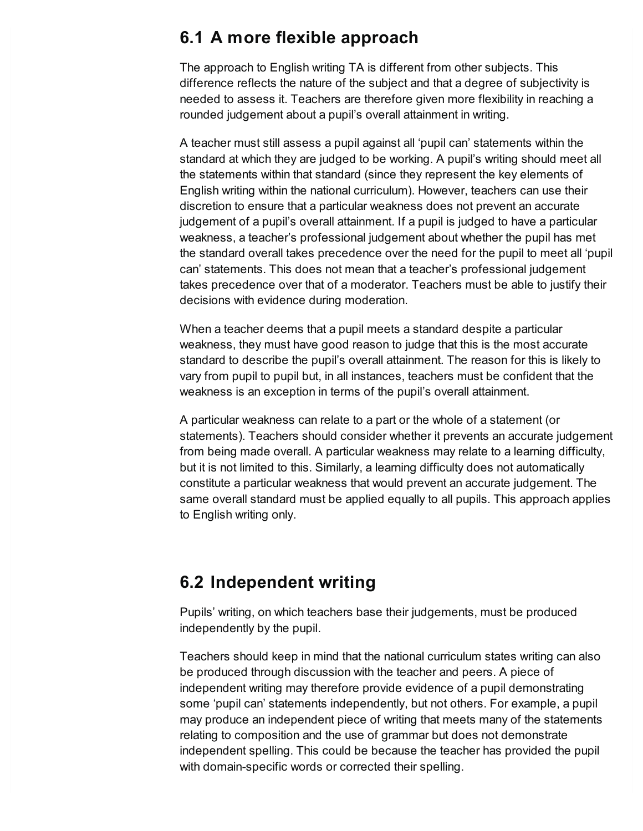#### **6.1 A more flexible approach**

The approach to English writing TA is different from other subjects. This difference reflects the nature of the subject and that a degree of subjectivity is needed to assess it. Teachers are therefore given more flexibility in reaching a rounded judgement about a pupil's overall attainment in writing.

A teacher must still assess a pupil against all 'pupil can' statements within the standard at which they are judged to be working. A pupil's writing should meet all the statements within that standard (since they represent the key elements of English writing within the national curriculum). However, teachers can use their discretion to ensure that a particular weakness does not prevent an accurate judgement of a pupil's overall attainment. If a pupil is judged to have a particular weakness, a teacher's professional judgement about whether the pupil has met the standard overall takes precedence over the need for the pupil to meet all 'pupil can' statements. This does not mean that a teacher's professional judgement takes precedence over that of a moderator. Teachers must be able to justify their decisions with evidence during moderation.

When a teacher deems that a pupil meets a standard despite a particular weakness, they must have good reason to judge that this is the most accurate standard to describe the pupil's overall attainment. The reason for this is likely to vary from pupil to pupil but, in all instances, teachers must be confident that the weakness is an exception in terms of the pupil's overall attainment.

A particular weakness can relate to a part or the whole of a statement (or statements). Teachers should consider whether it prevents an accurate judgement from being made overall. A particular weakness may relate to a learning difficulty, but it is not limited to this. Similarly, a learning difficulty does not automatically constitute a particular weakness that would prevent an accurate judgement. The same overall standard must be applied equally to all pupils. This approach applies to English writing only.

#### **6.2 Independent writing**

Pupils' writing, on which teachers base their judgements, must be produced independently by the pupil.

Teachers should keep in mind that the national curriculum states writing can also be produced through discussion with the teacher and peers. A piece of independent writing may therefore provide evidence of a pupil demonstrating some 'pupil can' statements independently, but not others. For example, a pupil may produce an independent piece of writing that meets many of the statements relating to composition and the use of grammar but does not demonstrate independent spelling. This could be because the teacher has provided the pupil with domain-specific words or corrected their spelling.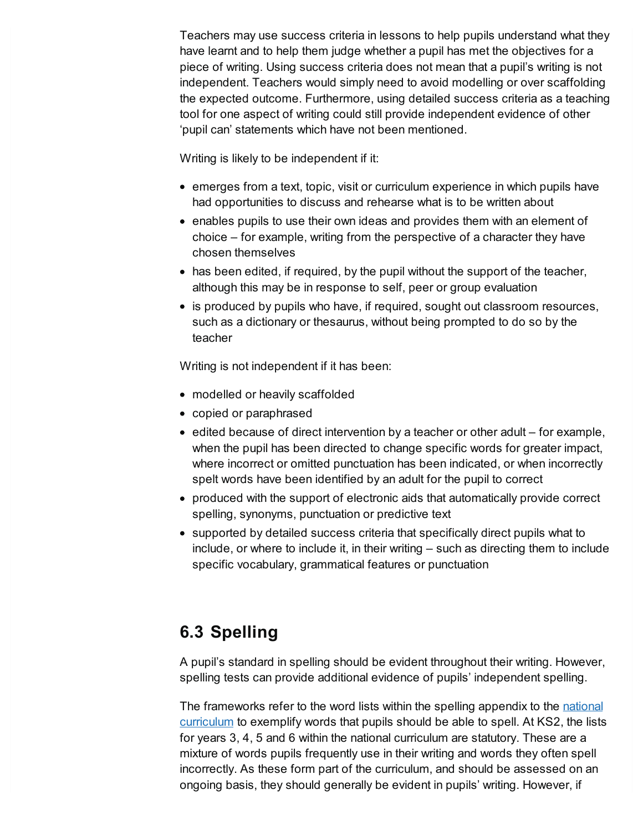Teachers may use success criteria in lessons to help pupils understand what they have learnt and to help them judge whether a pupil has met the objectives for a piece of writing. Using success criteria does not mean that a pupil's writing is not independent. Teachers would simply need to avoid modelling or over scaffolding the expected outcome. Furthermore, using detailed success criteria as a teaching tool for one aspect of writing could still provide independent evidence of other 'pupil can' statements which have not been mentioned.

Writing is likely to be independent if it:

- $\bullet$  emerges from a text, topic, visit or curriculum experience in which pupils have had opportunities to discuss and rehearse what is to be written about
- enables pupils to use their own ideas and provides them with an element of choice – for example, writing from the perspective of a character they have chosen themselves
- has been edited, if required, by the pupil without the support of the teacher, although this may be in response to self, peer or group evaluation
- is produced by pupils who have, if required, sought out classroom resources, such as a dictionary or thesaurus, without being prompted to do so by the teacher

Writing is not independent if it has been:

- modelled or heavily scaffolded
- copied or paraphrased
- $\bullet$  edited because of direct intervention by a teacher or other adult for example, when the pupil has been directed to change specific words for greater impact, where incorrect or omitted punctuation has been indicated, or when incorrectly spelt words have been identified by an adult for the pupil to correct
- produced with the support of electronic aids that automatically provide correct spelling, synonyms, punctuation or predictive text
- supported by detailed success criteria that specifically direct pupils what to include, or where to include it, in their writing – such as directing them to include specific vocabulary, grammatical features or punctuation

## **6.3 Spelling**

A pupil's standard in spelling should be evident throughout their writing. However, spelling tests can provide additional evidence of pupils' independent spelling.

The [frameworks](https://www.gov.uk/government/publications/national-curriculum-in-england-english-programmes-of-study) refer to the word lists within the spelling appendix to the national curriculum to exemplify words that pupils should be able to spell. At KS2, the lists for years 3, 4, 5 and 6 within the national curriculum are statutory. These are a mixture of words pupils frequently use in their writing and words they often spell incorrectly. As these form part of the curriculum, and should be assessed on an ongoing basis, they should generally be evident in pupils' writing. However, if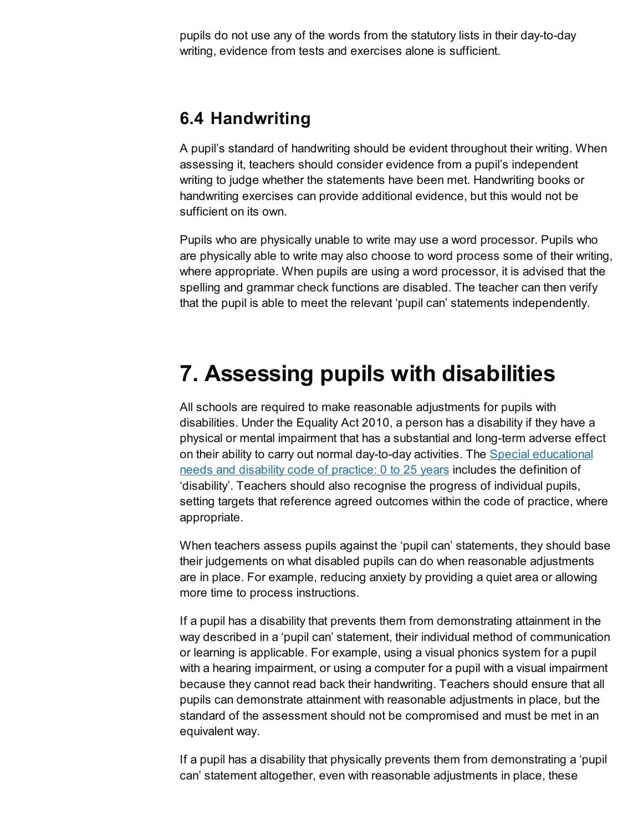pupils do not use any of the words from the statutory lists in their day-to-day writing, evidence from tests and exercises alone is sufficient.

### **6.4 Handwriting**

A pupil's standard of handwriting should be evident throughout their writing. When assessing it, teachers should consider evidence from a pupil's independent writing to judge whether the statements have been met. Handwriting books or handwriting exercises can provide additional evidence, but this would not be sufficient on its own.

Pupils who are physically unable to write may use a word processor. Pupils who are physically able to write may also choose to word process some of their writing, where appropriate. When pupils are using a word processor, it is advised that the spelling and grammar check functions are disabled. The teacher can then verify that the pupil is able to meet the relevant 'pupil can' statements independently.

# <span id="page-10-0"></span>**7. Assessing pupils with disabilities**

All schools are required to make reasonable adjustments for pupils with disabilities. Under the Equality Act 2010, a person has a disability if they have a physical or mental impairment that has a substantial and long-term adverse effect on their ability to carry out normal day-to-day activities. The Special [educational](https://www.gov.uk/government/publications/send-code-of-practice-0-to-25) needs and disability code of practice: 0 to 25 years includes the definition of 'disability'. Teachers should also recognise the progress of individual pupils, setting targets that reference agreed outcomes within the code of practice, where appropriate.

When teachers assess pupils against the 'pupil can' statements, they should base their judgements on what disabled pupils can do when reasonable adjustments are in place. For example, reducing anxiety by providing a quiet area or allowing more time to process instructions.

If a pupil has a disability that prevents them from demonstrating attainment in the way described in a 'pupil can' statement, their individual method of communication or learning is applicable. For example, using a visual phonics system for a pupil with a hearing impairment, or using a computer for a pupil with a visual impairment because they cannot read back their handwriting. Teachers should ensure that all pupils can demonstrate attainment with reasonable adjustments in place, but the standard of the assessment should not be compromised and must be met in an equivalent way.

If a pupil has a disability that physically prevents them from demonstrating a 'pupil can' statement altogether, even with reasonable adjustments in place, these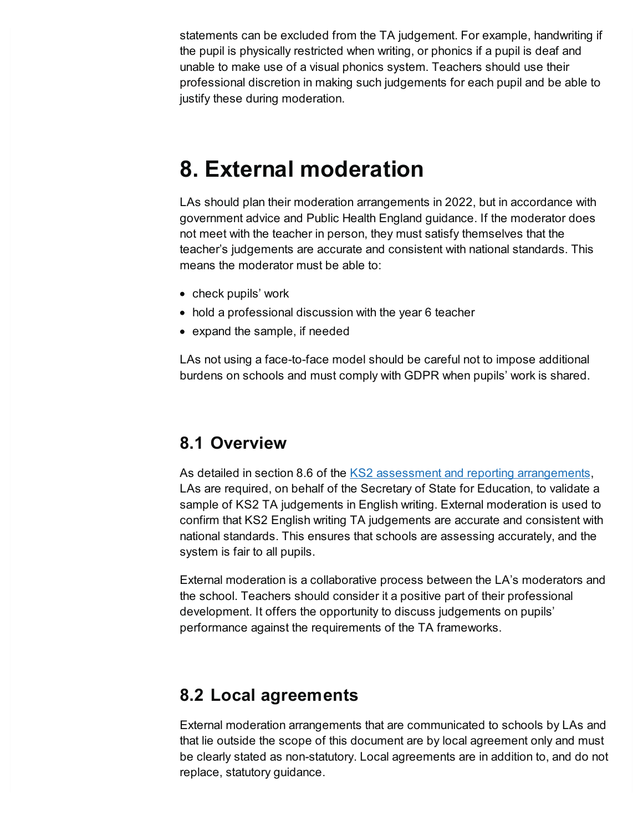statements can be excluded from the TA judgement. For example, handwriting if the pupil is physically restricted when writing, or phonics if a pupil is deaf and unable to make use of a visual phonics system. Teachers should use their professional discretion in making such judgements for each pupil and be able to justify these during moderation.

# **8. External moderation**

LAs should plan their moderation arrangements in 2022, but in accordance with government advice and Public Health England guidance. If the moderator does not meet with the teacher in person, they must satisfy themselves that the teacher's judgements are accurate and consistent with national standards. This means the moderator must be able to:

- check pupils' work
- hold a professional discussion with the year 6 teacher
- expand the sample, if needed

LAs not using a face-to-face model should be careful not to impose additional burdens on schools and must comply with GDPR when pupils' work is shared.

#### **8.1 Overview**

As detailed in section 8.6 of the KS2 assessment and reporting [arrangements](https://www.gov.uk/government/publications/2022-key-stage-2-assessment-and-reporting-arrangements-ara), LAs are required, on behalf of the Secretary of State for Education, to validate a sample of KS2 TA judgements in English writing. External moderation is used to confirm that KS2 English writing TA judgements are accurate and consistent with national standards. This ensures that schools are assessing accurately, and the system is fair to all pupils.

External moderation is a collaborative process between the LA's moderators and the school. Teachers should consider it a positive part of their professional development. It offers the opportunity to discuss judgements on pupils' performance against the requirements of the TA frameworks.

### **8.2 Local agreements**

External moderation arrangements that are communicated to schools by LAs and that lie outside the scope of this document are by local agreement only and must be clearly stated as non-statutory. Local agreements are in addition to, and do not replace, statutory guidance.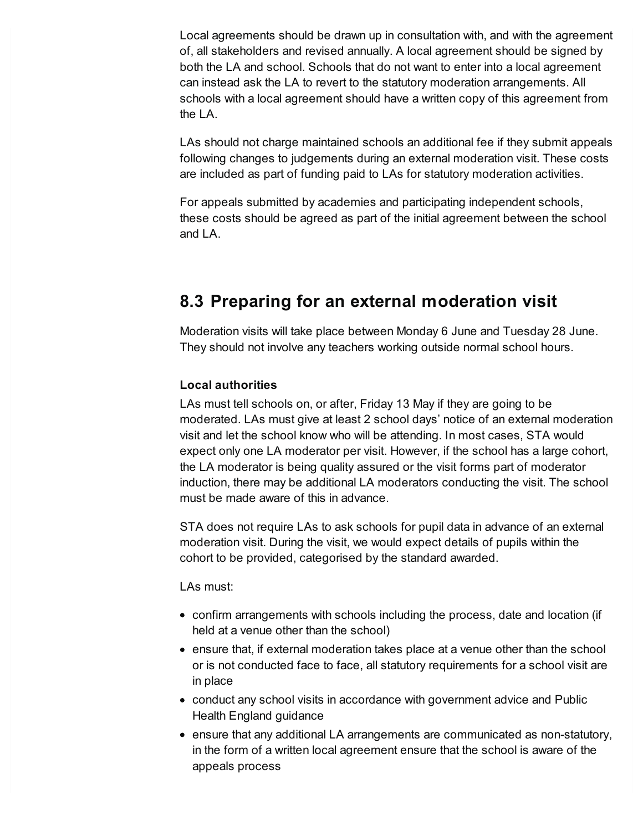Local agreements should be drawn up in consultation with, and with the agreement of, all stakeholders and revised annually. A local agreement should be signed by both the LA and school. Schools that do not want to enter into a local agreement can instead ask the LA to revert to the statutory moderation arrangements. All schools with a local agreement should have a written copy of this agreement from the LA.

LAs should not charge maintained schools an additional fee if they submit appeals following changes to judgements during an external moderation visit. These costs are included as part of funding paid to LAs for statutory moderation activities.

For appeals submitted by academies and participating independent schools, these costs should be agreed as part of the initial agreement between the school and LA.

## **8.3 Preparing for an external moderation visit**

Moderation visits will take place between Monday 6 June and Tuesday 28 June. They should not involve any teachers working outside normal school hours.

#### **Local authorities**

LAs must tell schools on, or after, Friday 13 May if they are going to be moderated. LAs must give at least 2 school days' notice of an external moderation visit and let the school know who will be attending. In most cases, STA would expect only one LA moderator per visit. However, if the school has a large cohort, the LA moderator is being quality assured or the visit forms part of moderator induction, there may be additional LA moderators conducting the visit. The school must be made aware of this in advance.

STA does not require LAs to ask schools for pupil data in advance of an external moderation visit. During the visit, we would expect details of pupils within the cohort to be provided, categorised by the standard awarded.

LAs must:

- confirm arrangements with schools including the process, date and location (if held at a venue other than the school)
- ensure that, if external moderation takes place at a venue other than the school or is not conducted face to face, all statutory requirements for a school visit are in place
- conduct any school visits in accordance with government advice and Public Health England guidance
- ensure that any additional LA arrangements are communicated as non-statutory, in the form of a written local agreement ensure that the school is aware of the appeals process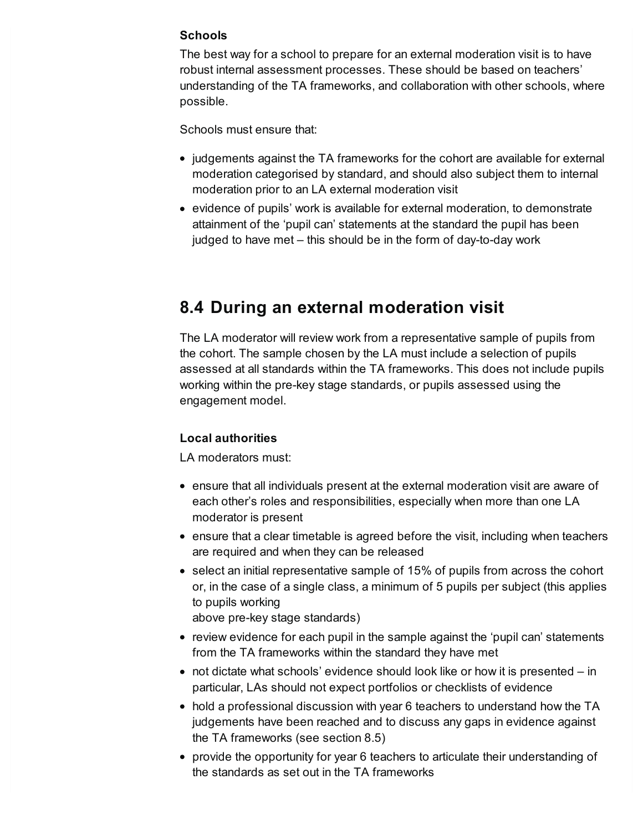#### **Schools**

The best way for a school to prepare for an external moderation visit is to have robust internal assessment processes. These should be based on teachers' understanding of the TA frameworks, and collaboration with other schools, where possible.

Schools must ensure that:

- judgements against the TA frameworks for the cohort are available for external moderation categorised by standard, and should also subject them to internal moderation prior to an LA external moderation visit
- evidence of pupils' work is available for external moderation, to demonstrate attainment of the 'pupil can' statements at the standard the pupil has been judged to have met – this should be in the form of day-to-day work

### **8.4 During an external moderation visit**

The LA moderator will review work from a representative sample of pupils from the cohort. The sample chosen by the LA must include a selection of pupils assessed at all standards within the TA frameworks. This does not include pupils working within the pre-key stage standards, or pupils assessed using the engagement model.

#### **Local authorities**

LA moderators must:

- ensure that all individuals present at the external moderation visit are aware of each other's roles and responsibilities, especially when more than one LA moderator is present
- ensure that a clear timetable is agreed before the visit, including when teachers are required and when they can be released
- select an initial representative sample of 15% of pupils from across the cohort or, in the case of a single class, a minimum of 5 pupils per subject (this applies to pupils working

above pre-key stage standards)

- review evidence for each pupil in the sample against the 'pupil can' statements from the TA frameworks within the standard they have met
- $\bullet$  not dictate what schools' evidence should look like or how it is presented  $-$  in particular, LAs should not expect portfolios or checklists of evidence
- hold a professional discussion with year 6 teachers to understand how the TA judgements have been reached and to discuss any gaps in evidence against the TA frameworks (see section 8.5)
- provide the opportunity for year 6 teachers to articulate their understanding of the standards as set out in the TA frameworks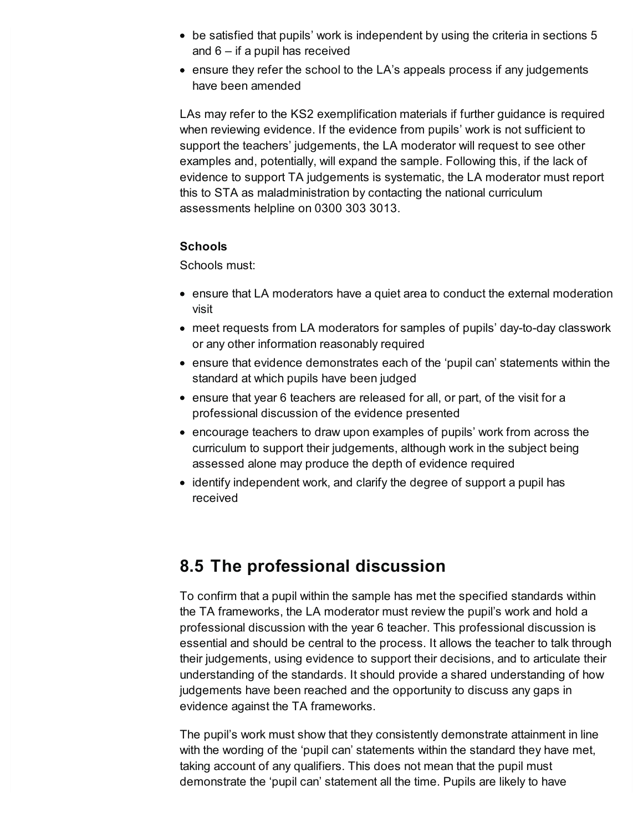- be satisfied that pupils' work is independent by using the criteria in sections 5 and 6 – if a pupil has received
- ensure they refer the school to the LA's appeals process if any judgements have been amended

LAs may refer to the KS2 exemplification materials if further guidance is required when reviewing evidence. If the evidence from pupils' work is not sufficient to support the teachers' judgements, the LA moderator will request to see other examples and, potentially, will expand the sample. Following this, if the lack of evidence to support TA judgements is systematic, the LA moderator must report this to STA as maladministration by contacting the national curriculum assessments helpline on 0300 303 3013.

#### **Schools**

Schools must:

- ensure that LA moderators have a quiet area to conduct the external moderation visit
- meet requests from LA moderators for samples of pupils' day-to-day classwork or any other information reasonably required
- ensure that evidence demonstrates each of the 'pupil can' statements within the standard at which pupils have been judged
- ensure that year 6 teachers are released for all, or part, of the visit for a professional discussion of the evidence presented
- encourage teachers to draw upon examples of pupils' work from across the curriculum to support their judgements, although work in the subject being assessed alone may produce the depth of evidence required
- identify independent work, and clarify the degree of support a pupil has received

### **8.5 The professional discussion**

To confirm that a pupil within the sample has met the specified standards within the TA frameworks, the LA moderator must review the pupil's work and hold a professional discussion with the year 6 teacher. This professional discussion is essential and should be central to the process. It allows the teacher to talk through their judgements, using evidence to support their decisions, and to articulate their understanding of the standards. It should provide a shared understanding of how judgements have been reached and the opportunity to discuss any gaps in evidence against the TA frameworks.

The pupil's work must show that they consistently demonstrate attainment in line with the wording of the 'pupil can' statements within the standard they have met, taking account of any qualifiers. This does not mean that the pupil must demonstrate the 'pupil can' statement all the time. Pupils are likely to have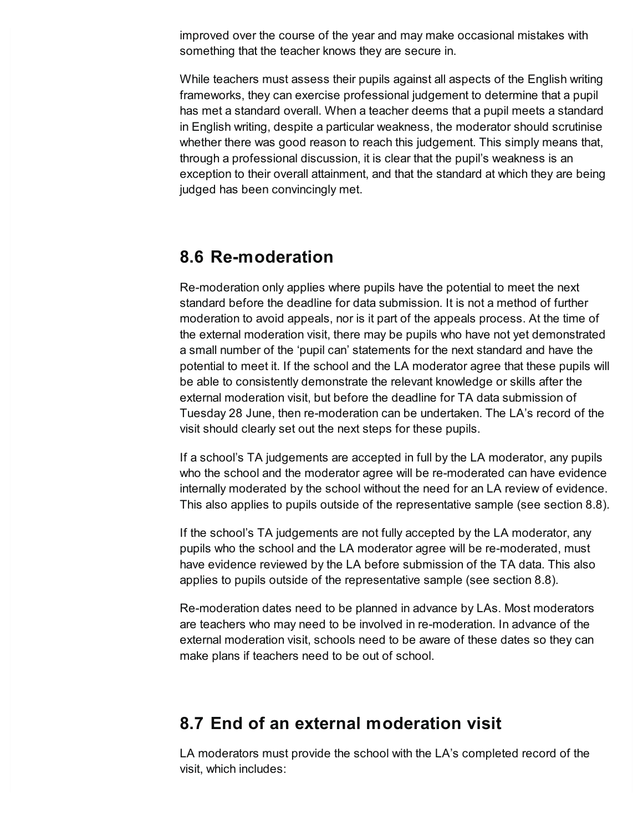improved over the course of the year and may make occasional mistakes with something that the teacher knows they are secure in.

While teachers must assess their pupils against all aspects of the English writing frameworks, they can exercise professional judgement to determine that a pupil has met a standard overall. When a teacher deems that a pupil meets a standard in English writing, despite a particular weakness, the moderator should scrutinise whether there was good reason to reach this judgement. This simply means that, through a professional discussion, it is clear that the pupil's weakness is an exception to their overall attainment, and that the standard at which they are being judged has been convincingly met.

#### **8.6 Re-moderation**

Re-moderation only applies where pupils have the potential to meet the next standard before the deadline for data submission. It is not a method of further moderation to avoid appeals, nor is it part of the appeals process. At the time of the external moderation visit, there may be pupils who have not yet demonstrated a small number of the 'pupil can' statements for the next standard and have the potential to meet it. If the school and the LA moderator agree that these pupils will be able to consistently demonstrate the relevant knowledge or skills after the external moderation visit, but before the deadline for TA data submission of Tuesday 28 June, then re-moderation can be undertaken. The LA's record of the visit should clearly set out the next steps for these pupils.

If a school's TA judgements are accepted in full by the LA moderator, any pupils who the school and the moderator agree will be re-moderated can have evidence internally moderated by the school without the need for an LA review of evidence. This also applies to pupils outside of the representative sample (see section 8.8).

If the school's TA judgements are not fully accepted by the LA moderator, any pupils who the school and the LA moderator agree will be re-moderated, must have evidence reviewed by the LA before submission of the TA data. This also applies to pupils outside of the representative sample (see section 8.8).

Re-moderation dates need to be planned in advance by LAs. Most moderators are teachers who may need to be involved in re-moderation. In advance of the external moderation visit, schools need to be aware of these dates so they can make plans if teachers need to be out of school.

### **8.7 End of an external moderation visit**

LA moderators must provide the school with the LA's completed record of the visit, which includes: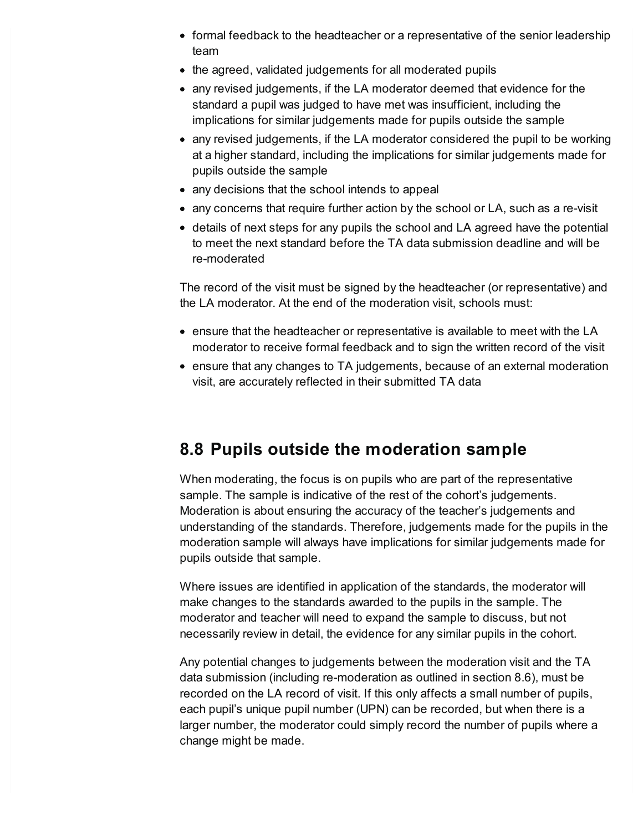- formal feedback to the headteacher or a representative of the senior leadership team
- the agreed, validated judgements for all moderated pupils
- any revised judgements, if the LA moderator deemed that evidence for the standard a pupil was judged to have met was insufficient, including the implications for similar judgements made for pupils outside the sample
- any revised judgements, if the LA moderator considered the pupil to be working at a higher standard, including the implications for similar judgements made for pupils outside the sample
- any decisions that the school intends to appeal
- any concerns that require further action by the school or LA, such as a re-visit
- details of next steps for any pupils the school and LA agreed have the potential to meet the next standard before the TA data submission deadline and will be re-moderated

The record of the visit must be signed by the headteacher (or representative) and the LA moderator. At the end of the moderation visit, schools must:

- ensure that the headteacher or representative is available to meet with the LA moderator to receive formal feedback and to sign the written record of the visit
- ensure that any changes to TA judgements, because of an external moderation visit, are accurately reflected in their submitted TA data

## **8.8 Pupils outside the moderation sample**

When moderating, the focus is on pupils who are part of the representative sample. The sample is indicative of the rest of the cohort's judgements. Moderation is about ensuring the accuracy of the teacher's judgements and understanding of the standards. Therefore, judgements made for the pupils in the moderation sample will always have implications for similar judgements made for pupils outside that sample.

Where issues are identified in application of the standards, the moderator will make changes to the standards awarded to the pupils in the sample. The moderator and teacher will need to expand the sample to discuss, but not necessarily review in detail, the evidence for any similar pupils in the cohort.

Any potential changes to judgements between the moderation visit and the TA data submission (including re-moderation as outlined in section 8.6), must be recorded on the LA record of visit. If this only affects a small number of pupils, each pupil's unique pupil number (UPN) can be recorded, but when there is a larger number, the moderator could simply record the number of pupils where a change might be made.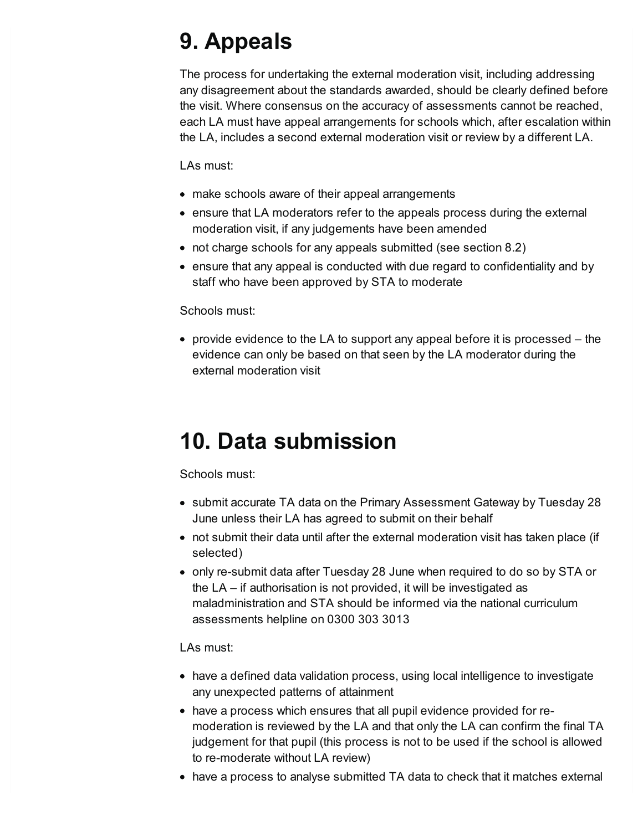# <span id="page-17-0"></span>**9. Appeals**

The process for undertaking the external moderation visit, including addressing any disagreement about the standards awarded, should be clearly defined before the visit. Where consensus on the accuracy of assessments cannot be reached, each LA must have appeal arrangements for schools which, after escalation within the LA, includes a second external moderation visit or review by a different LA.

LAs must:

- make schools aware of their appeal arrangements
- ensure that LA moderators refer to the appeals process during the external moderation visit, if any judgements have been amended
- not charge schools for any appeals submitted (see section 8.2)
- ensure that any appeal is conducted with due regard to confidentiality and by staff who have been approved by STA to moderate

#### Schools must:

• provide evidence to the LA to support any appeal before it is processed  $-$  the evidence can only be based on that seen by the LA moderator during the external moderation visit

# <span id="page-17-1"></span>**10. Data submission**

Schools must:

- submit accurate TA data on the Primary Assessment Gateway by Tuesday 28 June unless their LA has agreed to submit on their behalf
- not submit their data until after the external moderation visit has taken place (if selected)
- only re-submit data after Tuesday 28 June when required to do so by STA or the LA – if authorisation is not provided, it will be investigated as maladministration and STA should be informed via the national curriculum assessments helpline on 0300 303 3013

LAs must:

- have a defined data validation process, using local intelligence to investigate any unexpected patterns of attainment
- have a process which ensures that all pupil evidence provided for remoderation is reviewed by the LA and that only the LA can confirm the final TA judgement for that pupil (this process is not to be used if the school is allowed to re-moderate without LA review)
- have a process to analyse submitted TA data to check that it matches external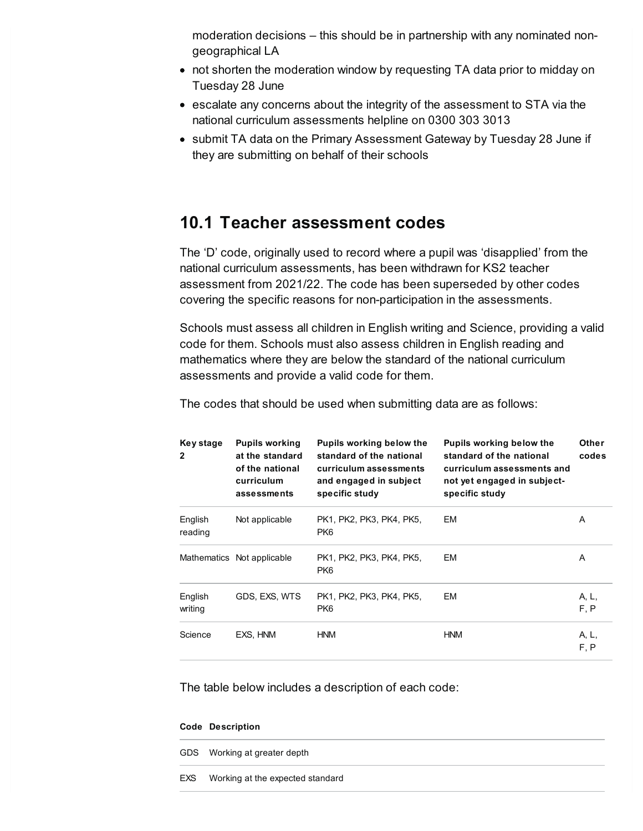moderation decisions – this should be in partnership with any nominated nongeographical LA

- not shorten the moderation window by requesting TA data prior to midday on Tuesday 28 June
- escalate any concerns about the integrity of the assessment to STA via the national curriculum assessments helpline on 0300 303 3013
- submit TA data on the Primary Assessment Gateway by Tuesday 28 June if they are submitting on behalf of their schools

#### **10.1 Teacher assessment codes**

The 'D' code, originally used to record where a pupil was 'disapplied' from the national curriculum assessments, has been withdrawn for KS2 teacher assessment from 2021/22. The code has been superseded by other codes covering the specific reasons for non-participation in the assessments.

Schools must assess all children in English writing and Science, providing a valid code for them. Schools must also assess children in English reading and mathematics where they are below the standard of the national curriculum assessments and provide a valid code for them.

| Key stage<br>$\mathbf{2}$ | <b>Pupils working</b><br>at the standard<br>of the national<br>curriculum<br>assessments | <b>Pupils working below the</b><br>standard of the national<br>curriculum assessments<br>and engaged in subject<br>specific study | Pupils working below the<br>standard of the national<br>curriculum assessments and<br>not yet engaged in subject-<br>specific study | <b>Other</b><br>codes |
|---------------------------|------------------------------------------------------------------------------------------|-----------------------------------------------------------------------------------------------------------------------------------|-------------------------------------------------------------------------------------------------------------------------------------|-----------------------|
| English<br>reading        | Not applicable                                                                           | PK1, PK2, PK3, PK4, PK5,<br>PK6                                                                                                   | EM                                                                                                                                  | A                     |
|                           | Mathematics Not applicable                                                               | PK1, PK2, PK3, PK4, PK5,<br>PK <sub>6</sub>                                                                                       | EM                                                                                                                                  | A                     |
| English<br>writing        | GDS, EXS, WTS                                                                            | PK1, PK2, PK3, PK4, PK5,<br>PK6                                                                                                   | EM                                                                                                                                  | A, L,<br>F, P         |
| Science                   | EXS. HNM                                                                                 | <b>HNM</b>                                                                                                                        | <b>HNM</b>                                                                                                                          | A, L,<br>F, P         |

The codes that should be used when submitting data are as follows:

The table below includes a description of each code:

#### **Code Description**

|     | GDS Working at greater depth     |
|-----|----------------------------------|
| EXS | Working at the expected standard |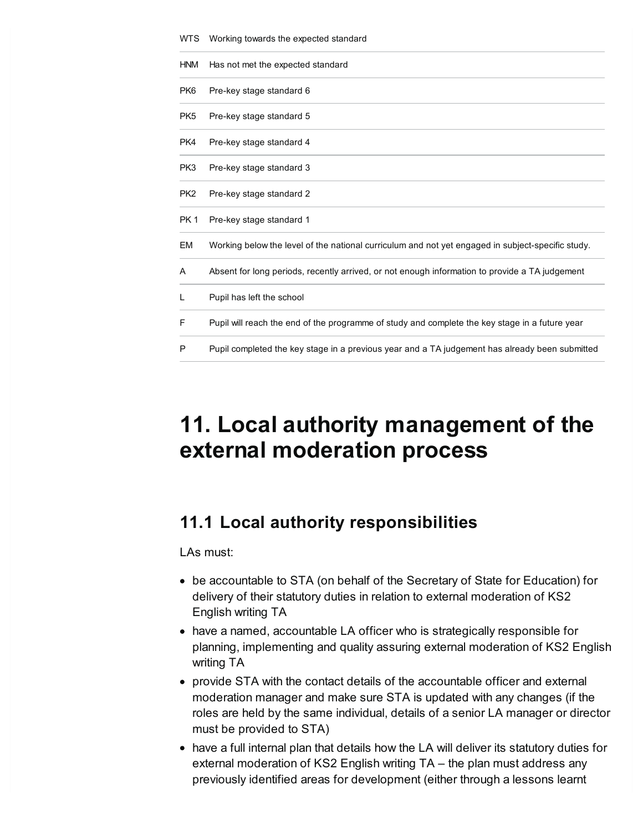| <b>WTS</b>      | Working towards the expected standard                                                             |
|-----------------|---------------------------------------------------------------------------------------------------|
| <b>HNM</b>      | Has not met the expected standard                                                                 |
| PK <sub>6</sub> | Pre-key stage standard 6                                                                          |
| PK <sub>5</sub> | Pre-key stage standard 5                                                                          |
| PK4             | Pre-key stage standard 4                                                                          |
| PK3             | Pre-key stage standard 3                                                                          |
| PK <sub>2</sub> | Pre-key stage standard 2                                                                          |
| PK <sub>1</sub> | Pre-key stage standard 1                                                                          |
| EM              | Working below the level of the national curriculum and not yet engaged in subject-specific study. |
| A               | Absent for long periods, recently arrived, or not enough information to provide a TA judgement    |
| L               | Pupil has left the school                                                                         |
| F               | Pupil will reach the end of the programme of study and complete the key stage in a future year    |
| P               | Pupil completed the key stage in a previous year and a TA judgement has already been submitted    |

# <span id="page-19-0"></span>**11. Local authority management of the external moderation process**

## **11.1 Local authority responsibilities**

LAs must:

- be accountable to STA (on behalf of the Secretary of State for Education) for delivery of their statutory duties in relation to external moderation of KS2 English writing TA
- have a named, accountable LA officer who is strategically responsible for planning, implementing and quality assuring external moderation of KS2 English writing TA
- provide STA with the contact details of the accountable officer and external moderation manager and make sure STA is updated with any changes (if the roles are held by the same individual, details of a senior LA manager or director must be provided to STA)
- have a full internal plan that details how the LA will deliver its statutory duties for external moderation of KS2 English writing TA – the plan must address any previously identified areas for development (either through a lessons learnt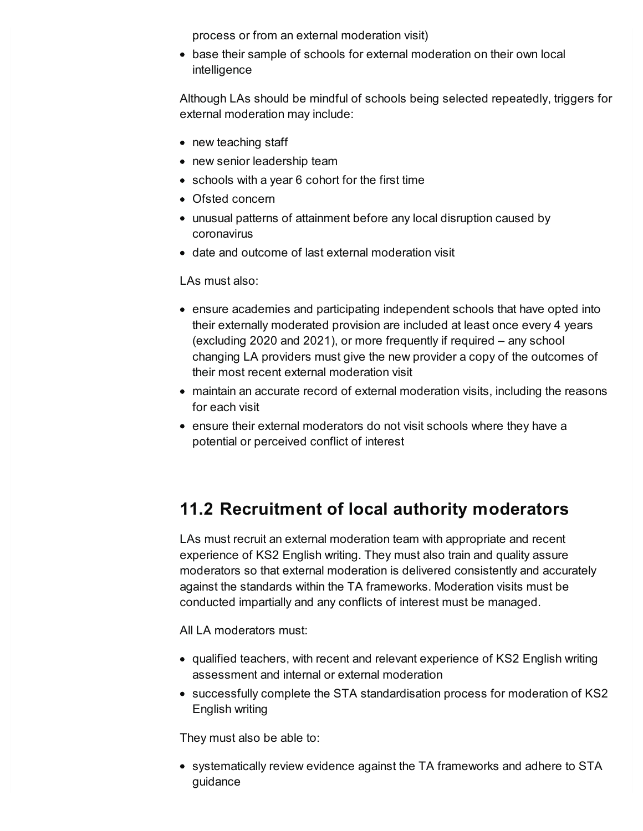process or from an external moderation visit)

base their sample of schools for external moderation on their own local intelligence

Although LAs should be mindful of schools being selected repeatedly, triggers for external moderation may include:

- new teaching staff
- new senior leadership team
- schools with a year 6 cohort for the first time
- Ofsted concern
- unusual patterns of attainment before any local disruption caused by coronavirus
- date and outcome of last external moderation visit

LAs must also:

- ensure academies and participating independent schools that have opted into their externally moderated provision are included at least once every 4 years (excluding 2020 and 2021), or more frequently if required – any school changing LA providers must give the new provider a copy of the outcomes of their most recent external moderation visit
- maintain an accurate record of external moderation visits, including the reasons for each visit
- ensure their external moderators do not visit schools where they have a potential or perceived conflict of interest

## **11.2 Recruitment of local authority moderators**

LAs must recruit an external moderation team with appropriate and recent experience of KS2 English writing. They must also train and quality assure moderators so that external moderation is delivered consistently and accurately against the standards within the TA frameworks. Moderation visits must be conducted impartially and any conflicts of interest must be managed.

All LA moderators must:

- qualified teachers, with recent and relevant experience of KS2 English writing assessment and internal or external moderation
- successfully complete the STA standardisation process for moderation of KS2 English writing

They must also be able to:

• systematically review evidence against the TA frameworks and adhere to STA guidance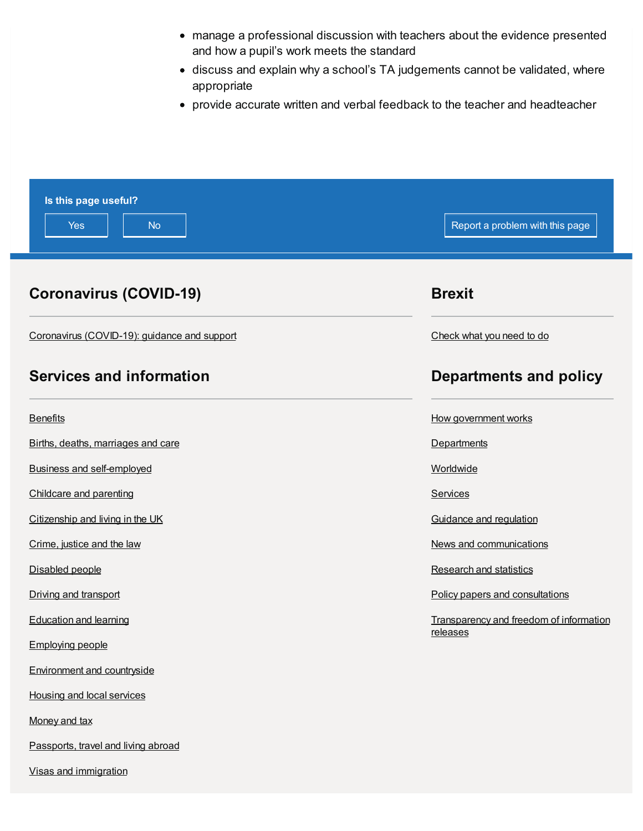- manage a professional discussion with teachers about the evidence presented and how a pupil's work meets the standard
- discuss and explain why a school's TA judgements cannot be validated, where appropriate
- provide accurate written and verbal feedback to the teacher and headteacher